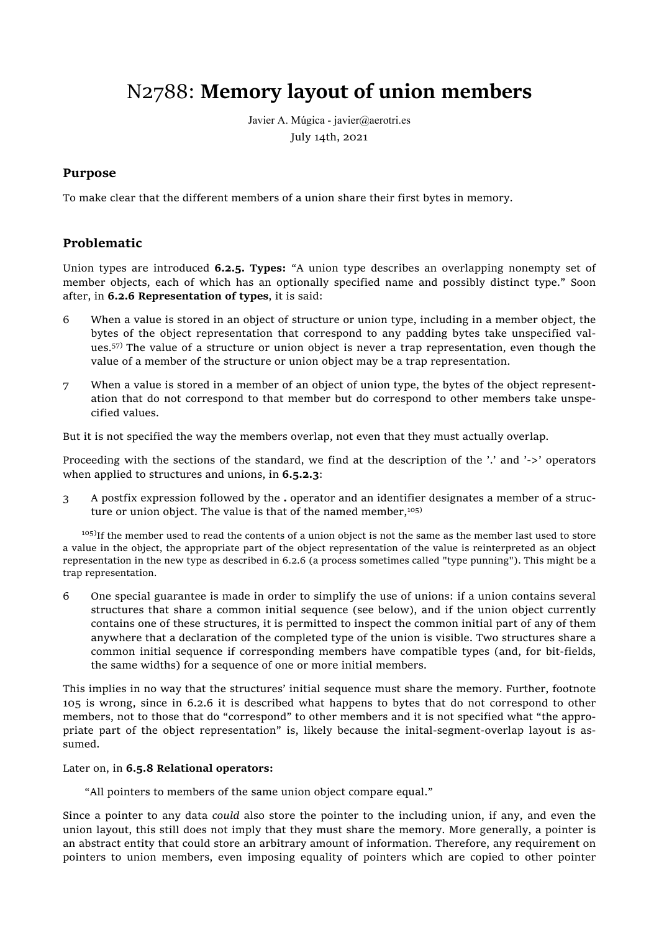# N2788: **Memory layout of union members**

Javier A. Múgica - javier@aerotri.es July 14th, 2021

# **Purpose**

To make clear that the different members of a union share their first bytes in memory.

# **Problematic**

Union types are introduced **6.2.5. Types:** "A union type describes an overlapping nonempty set of member objects, each of which has an optionally specified name and possibly distinct type." Soon after, in **6.2.6 Representation of types**, it is said:

- 6 When a value is stored in an object of structure or union type, including in a member object, the bytes of the object representation that correspond to any padding bytes take unspecified values.<sup>57)</sup> The value of a structure or union object is never a trap representation, even though the value of a member of the structure or union object may be a trap representation.
- 7 When a value is stored in a member of an object of union type, the bytes of the object representation that do not correspond to that member but do correspond to other members take unspecified values.

But it is not specified the way the members overlap, not even that they must actually overlap.

Proceeding with the sections of the standard, we find at the description of the '.' and '->' operators when applied to structures and unions, in **6.5.2.3**:

3 A postfix expression followed by the **.** operator and an identifier designates a member of a structure or union object. The value is that of the named member,<sup>105)</sup>

 $105$ ) If the member used to read the contents of a union object is not the same as the member last used to store a value in the object, the appropriate part of the object representation of the value is reinterpreted as an object representation in the new type as described in 6.2.6 (a process sometimes called "type punning"). This might be a trap representation.

6 One special guarantee is made in order to simplify the use of unions: if a union contains several structures that share a common initial sequence (see below), and if the union object currently contains one of these structures, it is permitted to inspect the common initial part of any of them anywhere that a declaration of the completed type of the union is visible. Two structures share a common initial sequence if corresponding members have compatible types (and, for bit-fields, the same widths) for a sequence of one or more initial members.

This implies in no way that the structures' initial sequence must share the memory. Further, footnote 105 is wrong, since in 6.2.6 it is described what happens to bytes that do not correspond to other members, not to those that do "correspond" to other members and it is not specified what "the appropriate part of the object representation" is, likely because the inital-segment-overlap layout is assumed.

#### Later on, in **6.5.8 Relational operators:**

"All pointers to members of the same union object compare equal."

Since a pointer to any data *could* also store the pointer to the including union, if any, and even the union layout, this still does not imply that they must share the memory. More generally, a pointer is an abstract entity that could store an arbitrary amount of information. Therefore, any requirement on pointers to union members, even imposing equality of pointers which are copied to other pointer